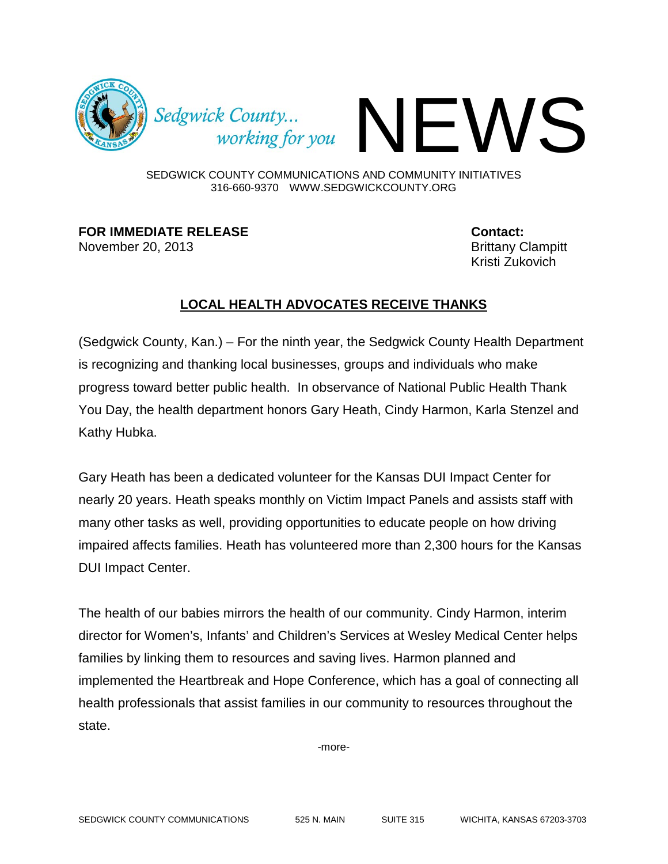

Sedgwick County...<br>working for you

SEDGWICK COUNTY COMMUNICATIONS AND COMMUNITY INITIATIVES 316-660-9370 WWW.SEDGWICKCOUNTY.ORG

**FOR IMMEDIATE RELEASE Contact:** November 20, 2013 **Brittany Clampitt** 

Kristi Zukovich

## **LOCAL HEALTH ADVOCATES RECEIVE THANKS**

(Sedgwick County, Kan.) – For the ninth year, the Sedgwick County Health Department is recognizing and thanking local businesses, groups and individuals who make progress toward better public health. In observance of National Public Health Thank You Day, the health department honors Gary Heath, Cindy Harmon, Karla Stenzel and Kathy Hubka.

Gary Heath has been a dedicated volunteer for the Kansas DUI Impact Center for nearly 20 years. Heath speaks monthly on Victim Impact Panels and assists staff with many other tasks as well, providing opportunities to educate people on how driving impaired affects families. Heath has volunteered more than 2,300 hours for the Kansas DUI Impact Center.

The health of our babies mirrors the health of our community. Cindy Harmon, interim director for Women's, Infants' and Children's Services at Wesley Medical Center helps families by linking them to resources and saving lives. Harmon planned and implemented the Heartbreak and Hope Conference, which has a goal of connecting all health professionals that assist families in our community to resources throughout the state.

-more-